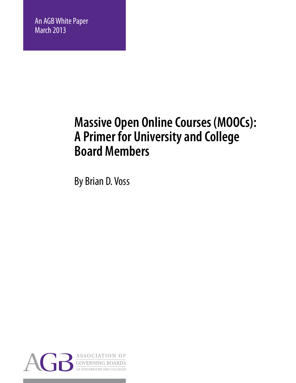# **Massive Open Online Courses (MOOCs): A Primer for University and College Board Members**

By Brian D. Voss

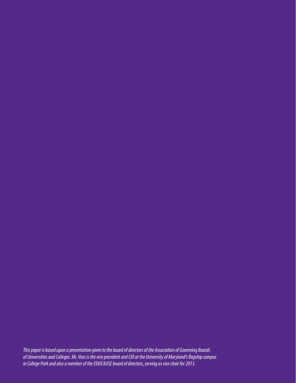*This paper is based upon a presentation given to the board of directors of the Association of Governing Boards of Universities and Colleges. Mr. Voss is the vice president and CIO at the University of Maryland's flagship campus in College Park and also a member of the EDUCAUSE board of directors, serving as vice chair for 2013.*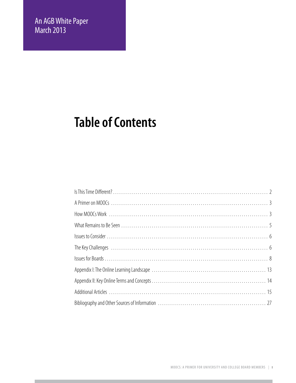F

# **Table of Contents**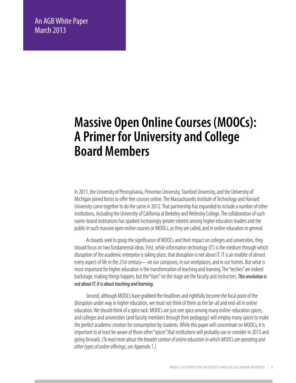# **Massive Open Online Courses (MOOCs): A Primer for University and College Board Members**

In 2011, the University of Pennsylvania, Princeton University, Stanford University, and the University of Michigan joined forces to offer free courses online. The Massachusetts Institute of Technology and Harvard University came together to do the same in 2012. That partnership has expanded to include a number of other institutions, including the University of California at Berkeley and Wellesley College. The collaboration of such name-brand institutions has sparked increasingly greater interest among higher education leaders and the public in such massive open online courses or MOOCs, as they are called, and in online education in general.

As boards seek to grasp the significance of MOOCs and their impact on colleges and universities, they should focus on two fundamental ideas. First, while information technology (IT) is the medium through which disruption of the academic enterprise is taking place, that disruption is not about IT. IT is an enabler of almost every aspect of life in the 21st century—on our campuses, in our workplaces, and in our homes. But what is most important for higher education is the transformation of teaching and learning. The "techies" are indeed backstage, making things happen, but the "stars" on the stage are the faculty and instructors. *This revolution is not about IT. It is about teaching and learning.*

Second, although MOOCs have grabbed the headlines and rightfully become the focal point of the disruption under way in higher education, we must not think of them as the be-all and end-all in online education. We should think of a spice rack: MOOCs are just one spice among many online-education spices, and colleges and universities (and faculty members through their pedagogy) will employ many spices to make the perfect academic creation for consumption by students. While this paper will concentrate on MOOCs, it is important to at least be aware of those other "spices" that institutions will probably use or consider in 2013 and going forward. *(To read more about the broader context of online education in which MOOCs are operating and other types of online offerings, see Appendix 1.)*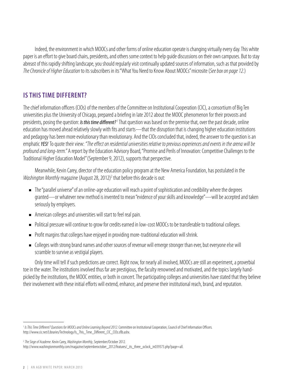Indeed, the environment in which MOOCs and other forms of online education operate is changing virtually every day. This white paper is an effort to give board chairs, presidents, and others some context to help guide discussions on their own campuses. But to stay abreast of this rapidly shifting landscape, you should regularly visit continually updated sources of information, such as that provided by *The Chronicle of Higher Education* to its subscribers in its "What You Need to Know About MOOCs" microsite (*See box on page 12.*)

### **Is This Time Different?**

The chief information officers (CIOs) of the members of the Committee on Institutional Cooperation (CIC), a consortium of Big Ten universities plus the University of Chicago, prepared a briefing in late 2012 about the MOOC phenomenon for their provosts and presidents, posing the question: *Is this time different?*<sup>1</sup>That question was based on the premise that, over the past decade, online education has moved ahead relatively slowly with fits and starts—that the disruption that is changing higher education institutions and pedagogy has been more evolutionary than revolutionary. And the CIOs concluded that, indeed, the answer to the question is an emphatic *YES!* To quote their view: *"The effect on residential universities relative to previous experiences and events in the arena will be profound and long-term."* A report by the Education Advisory Board, "Promise and Perils of Innovation: Competitive Challenges to the Traditional Higher Education Model" (September 9, 2012), supports that perspective.

Meanwhile, Kevin Carey, director of the education policy program at the New America Foundation, has postulated in the Washington Monthly magazine (August 28, 2012)<sup>2</sup> that before this decade is out:

- The "parallel universe" of an online-age education will reach a point of sophistication and credibility where the degrees granted—or whatever new method is invented to mean "evidence of your skills and knowledge"—will be accepted and taken seriously by employers.
- American colleges and universities will start to feel real pain.
- Political pressure will continue to grow for credits earned in low-cost MOOCs to be transferable to traditional colleges.
- Profit margins that colleges have enjoyed in providing more-traditional education will shrink.
- Colleges with strong brand names and other sources of revenue will emerge stronger than ever, but everyone else will scramble to survive as vestigial players.

Only time will tell if such predictions are correct. Right now, for nearly all involved, MOOCs are still an experiment, a proverbial toe in the water. The institutions involved thus far are prestigious, the faculty renowned and motivated, and the topics largely handpicked by the institutions, the MOOC entities, or both in concert. The participating colleges and universities have stated that they believe their involvement with these initial efforts will extend, enhance, and preserve their institutional reach, brand, and reputation.

<sup>&</sup>lt;sup>1</sup> Is This Time Different? Questions for MOOCs and Online Learning Beyond 2012. Committee on Institutional Cooperation, Council of Chief Information Officers. http://www.cic.net/Libraries/Technology/Is\_This\_Time\_Different\_CIC\_CIOs.sflb.ashx.

<sup>2</sup> *The Siege of Academe*. Kevin Carey, *Washington Monthly*, September/October 2012.

http://www.washingtonmonthly.com/magazine/septemberoctober\_2012/features/\_its\_three\_oclock\_in039373.php?page=all.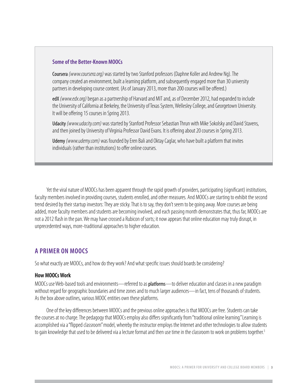#### **Some of the Better-Known MOOCs**

Coursera*(www.coursera.org)* was started by two Stanford professors (Daphne Koller and Andrew Ng). The company created an environment, built a learning platform, and subsequently engaged more than 30 university partners in developing course content. (As of January 2013, more than 200 courses will be offered.)

edX *(www.edx.org)* began as a partnership of Harvard and MIT and, as of December 2012, had expanded to include the University of California at Berkeley, the University of Texas System, Wellesley College, and Georgetown University. It will be offering 15 courses in Spring 2013.

Udacity*(www.udacity.com)* was started by Stanford Professor Sebastian Thrun with Mike Sokolsky and David Stavens, and then joined by University of Virginia Professor David Evans. It is offering about 20 courses in Spring 2013.

Udemy*(www.udemy.com)* was founded by Eren Bali and Oktay Caglar, who have built a platform that invites individuals (rather than institutions) to offer online courses.

Yet the viral nature of MOOCs has been apparent through the rapid growth of providers, participating (significant) institutions, faculty members involved in providing courses, students enrolled, and other measures. And MOOCs are starting to exhibit the second trend desired by their startup investors: They are sticky. That is to say, they don't seem to be going away. More courses are being added, more faculty members and students are becoming involved, and each passing month demonstrates that, thus far, MOOCs are not a 2012 flash in the pan. We may have crossed a Rubicon of sorts; it now appears that online education may truly disrupt, in unprecedented ways, more-traditional approaches to higher education.

### **A Primer on MOOCs**

So what exactly are MOOCs, and how do they work? And what specific issues should boards be considering?

#### **How MOOCs Work**

MOOCs use Web-based tools and environments—referred to as platforms—to deliver education and classes in a new paradigm without regard for geographic boundaries and time zones and to much larger audiences—in fact, tens of thousands of students. As the box above outlines, various MOOC entities own these platforms.

One of the key differences between MOOCs and the previous online approaches is that MOOCs are free. Students can take the courses at no charge. The pedagogy that MOOCs employ also differs significantly from "traditional online learning." Learning is accomplished via a "flipped classroom" model, whereby the instructor employs the Internet and other technologies to allow students to gain knowledge that used to be delivered via a lecture format and then use time in the classroom to work on problems together.<sup>3</sup>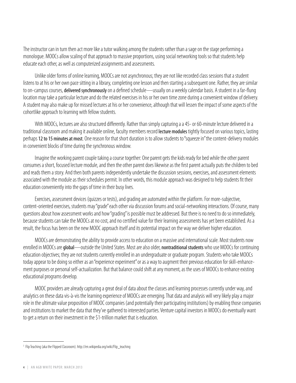The instructor can in turn then act more like a tutor walking among the students rather than a sage on the stage performing a monologue. MOOCs allow scaling of that approach to massive proportions, using social networking tools so that students help educate each other, as well as computerized assignments and assessments.

Unlike older forms of online learning, MOOCs are not asynchronous; they are not like recorded class sessions that a student listens to at his or her own pace sitting in a library, completing one lesson and then starting a subsequent one. Rather, they are similar to on-campus courses, **delivered synchronously** on a defined schedule—usually on a weekly calendar basis. A student in a far-flung location may take a particular lecture and do the related exercises in his or her own time zone during a convenient window of delivery. A student may also make up for missed lectures at his or her convenience, although that will lessen the impact of some aspects of the cohortlike approach to learning with fellow students.

With MOOCs, lectures are also structured differently. Rather than simply capturing a a 45- or 60-minute lecture delivered in a traditional classroom and making it available online, faculty members record lecture modules tightly focused on various topics, lasting perhaps 12 to 15 minutes at most. One reason for that short duration is to allow students to "squeeze in" the content-delivery modules in convenient blocks of time during the synchronous window.

Imagine the working parent couple taking a course together: One parent gets the kids ready for bed while the other parent consumes a short, focused lecture module, and then the other parent does likewise as the first parent actually puts the children to bed and reads them a story. And then both parents independently undertake the discussion sessions, exercises, and assessment elements associated with the module as their schedules permit. In other words, this module approach was designed to help students fit their education conveniently into the gaps of time in their busy lives.

Exercises, assessment devices (quizzes or tests), and grading are automated within the platform. For more-subjective, content-oriented exercises, students may "grade" each other via discussion forums and social-networking interactions. Of course, many questions about how assessment works and how "grading" is possible must be addressed. But there is no need to do so immediately, because students can take the MOOCs at no cost, and no certified value for their learning assessments has yet been established. As a result, the focus has been on the new MOOC approach itself and its potential impact on the way we deliver higher education.

MOOCs are demonstrating the ability to provide access to education on a massive and international scale. Most students now enrolled in MOOCs are global—outside the United States. Most are also older, nontraditional students who use MOOCs for continuing education objectives; they are not students currently enrolled in an undergraduate or graduate program. Students who take MOOCs today appear to be doing so either as an "experience experiment" or as a way to augment their previous education for skill-enhancement purposes or personal self-actualization. But that balance could shift at any moment, as the uses of MOOCs to enhance existing educational programs develop.

MOOC providers are already capturing a great deal of data about the classes and learning processes currently under way, and analytics on these data vis-à-vis the learning experience of MOOCs are emerging. That data and analysis will very likely play a major role in the ultimate value proposition of MOOC companies (and potentially their participating institutions) by enabling those companies and institutions to market the data that they've gathered to interested parties. Venture capital investors in MOOCs do eventually want to get a return on their investment in the \$1-trillion market that is education.

<sup>&</sup>lt;sup>3</sup> Flip Teaching (aka the Flipped Classroom). http://en.wikipedia.org/wiki/Flip\_teaching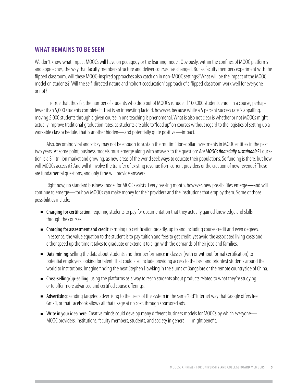### **What Remains To Be Seen**

We don't know what impact MOOCs will have on pedagogy or the learning model. Obviously, within the confines of MOOC platforms and approaches, the way that faculty members structure and deliver courses has changed. But as faculty members experiment with the flipped classroom, will these MOOC-inspired approaches also catch on in non-MOOC settings? What will be the impact of the MOOC model on students? Will the self-directed nature and "cohort coeducation" approach of a flipped classroom work well for everyone or not?

It is true that, thus far, the number of students who drop out of MOOCs is huge: If 100,000 students enroll in a course, perhaps fewer than 5,000 students complete it. That is an interesting factoid, however, because while a 5 percent success rate is appalling, moving 5,000 students through a given course in one teaching is phenomenal. What is also not clear is whether or not MOOCs might actually improve traditional graduation rates, as students are able to "load up" on courses without regard to the logistics of setting up a workable class schedule. That is another hidden—and potentially quite positive—impact.

Also, becoming viral and sticky may not be enough to sustain the multimillion-dollar investments in MOOC entities in the past two years. At some point, business models must emerge along with answers to the question: *Are MOOCs financially sustainable?* Education is a \$1-trillion market and growing, as new areas of the world seek ways to educate their populations. So funding is there, but how will MOOCs access it? And will it involve the transfer of existing revenue from current providers or the creation of new revenue? These are fundamental questions, and only time will provide answers.

Right now, no standard business model for MOOCs exists. Every passing month, however, new possibilities emerge—and will continue to emerge—for how MOOCs can make money for their providers and the institutions that employ them. Some of those possibilities include:

- Charging for certification: requiring students to pay for documentation that they actually gained knowledge and skills through the courses.
- Charging for assessment and credit: ramping up certification broadly, up to and including course credit and even degrees. In essence, the value equation to the student is to pay tuition and fees to get credit, yet avoid the associated living costs and either speed up the time it takes to graduate or extend it to align with the demands of their jobs and families.
- Data mining: selling the data about students and their performance in classes (with or without formal certification) to potential employers looking for talent. That could also include providing access to the best and brightest students around the world to institutions. Imagine finding the next Stephen Hawking in the slums of Bangalore or the remote countryside of China.
- Cross-selling/up-selling: using the platforms as a way to reach students about products related to what they're studying or to offer more advanced and certified course offerings.
- Advertising: sending targeted advertising to the users of the system in the same "old" Internet way that Google offers free Gmail, or that Facebook allows all that usage at no cost, through sponsored ads.
- Write in your idea here: Creative minds could develop many different business models for MOOCs by which everyone— MOOC providers, institutions, faculty members, students, and society in general—might benefit.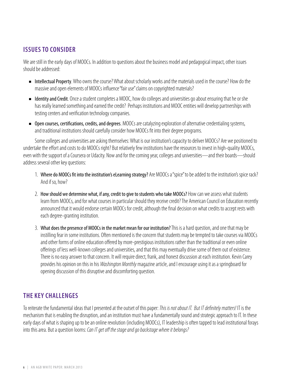# **Issues to Consider**

We are still in the early days of MOOCs. In addition to questions about the business model and pedagogical impact, other issues should be addressed:

- Intellectual Property. Who owns the course? What about scholarly works and the materials used in the course? How do the massive and open elements of MOOCs influence "fair use" claims on copyrighted materials?
- Identity and Credit. Once a student completes a MOOC, how do colleges and universities go about ensuring that he or she has really learned something and earned the credit? Perhaps institutions and MOOC entities will develop partnerships with testing centers and verification technology companies.
- Open courses, certifications, credits, and degrees. MOOCs are catalyzing exploration of alternative credentialing systems, and traditional institutions should carefully consider how MOOCs fit into their degree programs.

Some colleges and universities are asking themselves: What is our institution's capacity to deliver MOOCs? Are we positioned to undertake the effort and costs to do MOOCs right? But relatively few institutions have the resources to invest in high-quality MOOCs, even with the support of a Coursera or Udacity. Now and for the coming year, colleges and universities—and their boards—should address several other key questions:

- 1. Where do MOOCs fit into the institution's eLearning strategy? Are MOOCs a "spice" to be added to the institution's spice rack? And if so, how?
- 2. How should we determine what, if any, credit to give to students who take MOOCs? How can we assess what students learn from MOOCs, and for what courses in particular should they receive credit? The American Council on Education recently announced that it would endorse certain MOOCs for credit, although the final decision on what credits to accept rests with each degree-granting institution.
- 3. What does the presence of MOOCs in the market mean for our institution? This is a hard question, and one that may be instilling fear in some institutions. Often mentioned is the concern that students may be tempted to take courses via MOOCs and other forms of online education offered by more-prestigious institutions rather than the traditional or even online offerings of less well-known colleges and universities, and that this may eventually drive some of them out of existence. There is no easy answer to that concern. It will require direct, frank, and honest discussion at each institution. Kevin Carey provides his opinion on this in his *Washington Monthly* magazine article, and I encourage using it as a springboard for opening discussion of this disruptive and discomforting question.

# **The Key Challenges**

To reiterate the fundamental ideas that I presented at the outset of this paper: *This is not about IT. But IT definitely matters!* IT is the mechanism that is enabling the disruption, and an institution must have a fundamentally sound and strategic approach to IT. In these early days of what is shaping up to be an online revolution (including MOOCs), IT leadership is often tapped to lead institutional forays into this area. But a question looms: *Can IT get off the stage and go backstage where it belongs?*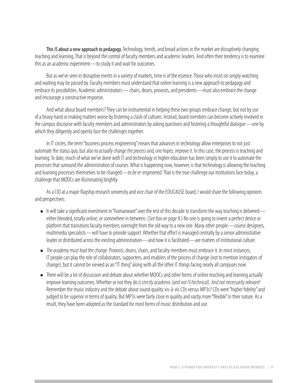This *IS* about a new approach to pedagogy. Technology, trends, and broad actions in the market are disruptively changing teaching and learning. That is beyond the control of faculty members and academic leaders. And often their tendency is to examine this as an academic experiment—to study it and wait for outcomes.

But as we've seen in disruptive events in a variety of markets, time is of the essence. Those who insist on simply watching and waiting may be passed by. Faculty members must understand that online learning is a new approach to pedagogy and embrace its possibilities. Academic administrators— chairs, deans, provosts, and presidents—must also embrace the change and encourage a constructive response.

And what about board members? They can be instrumental in helping these two groups embrace change, but not by use of a heavy hand or making matters worse by fostering a clash of cultures. Instead, board members can become actively involved in the campus discourse with faculty members and administrators by asking questions and fostering a thoughtful dialogue—one by which they diligently and openly face the challenges together.

In IT circles, the term "business process engineering" means that advances in technology allow enterprises to not just automate the status quo, but also to *actually change the process and, one hopes, improve it*. In this case, the process is teaching and learning. To date, much of what we've done with IT and technology in higher education has been simply to use it to automate the processes that surround the administration of courses. What is happening now, however, is that technology is allowing the teaching and learning processes themselves to be changed—*to be re-engineered*. That is the true challenge our institutions face today, a challenge that MOOCs are illuminating brightly.

As a CIO at a major flagship research university and vice chair of the EDUCAUSE board, I would share the following opinions and perspectives:

- It will take a significant investment in "humanware" over the rest of this decade to transform the way teaching is delivered either blended, totally online, or somewhere in between. (*See box on page 8.*) No one is going to invent a perfect device or platform that transitions faculty members overnight from the old way to a new one. Many other people—course designers, multimedia specialists—will have to provide support. Whether that effort is managed centrally by a senior administrative leader or distributed across the existing administration—and how it is facilitated—are matters of institutional culture.
- *The academy must lead the change*. Provosts, deans, chairs, and faculty members must embrace it. In most instances, IT people can play the role of collaborators, supporters, and enablers of the process of change (not to mention instigators of change), but it cannot be viewed as an "IT thing" along with all the other IT things facing nearly all campuses now.
- There will be a lot of discussion and debate about whether MOOCs and other forms of online teaching and learning actually improve learning outcomes. Whether or not they do *is strictly academic (and not IT/technical). And not necessarily relevant!*  Remember the music industry and the debate about sound quality vis-à-vis CDs versus MP3s? CDs were "higher fidelity" and judged to be superior in terms of quality. But MP3s were fairly close in quality and vastly more "flexible" in their nature. As a result, they have been adopted as the standard for most forms of music distribution and use.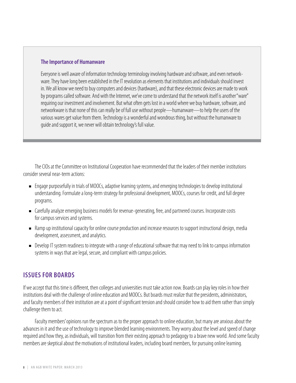#### **The Importance of Humanware**

Everyone is well aware of information technology terminology involving hardware and software, and even networkware. They have long been established in the IT revolution as elements that institutions and individuals should invest in. We all know we need to buy computers and devices (hardware), and that these electronic devices are made to work by programs called software. And with the Internet, we've come to understand that the network itself is another "ware" requiring our investment and involvement. But what often gets lost in a world where we buy hardware, software, and networkware is that none of this can really be of full use without people—humanware—to help the users of the various wares get value from them. Technology is a wonderful and wondrous thing, but without the humanware to guide and support it, we never will obtain technology's full value.

The CIOs at the Committee on Institutional Cooperation have recommended that the leaders of their member institutions consider several near-term actions:

- Engage purposefully in trials of MOOCs, adaptive learning systems, and emerging technologies to develop institutional understanding. Formulate a long-term strategy for professional development, MOOCs, courses for credit, and full degree programs.
- ■ Carefully analyze emerging business models for revenue-generating, free, and partnered courses. Incorporate costs for campus services and systems.
- Ramp up institutional capacity for online course production and increase resources to support instructional design, media development, assessment, and analytics.
- Develop IT system readiness to integrate with a range of educational software that may need to link to campus information systems in ways that are legal, secure, and compliant with campus policies.

### **Issues for Boards**

If we accept that this time is different, then colleges and universities must take action now. Boards can play key roles in how their institutions deal with the challenge of online education and MOOCs. But boards must realize that the presidents, administrators, and faculty members of their institution are at a point of significant tension and should consider how to aid them rather than simply challenge them to act.

Faculty members' opinions run the spectrum as to the proper approach to online education, but many are anxious about the advances in it and the use of technology to improve blended learning environments. They worry about the level and speed of change required and how they, as individuals, will transition from their existing approach to pedagogy to a brave new world. And some faculty members are skeptical about the motivations of institutional leaders, including board members, for pursuing online learning.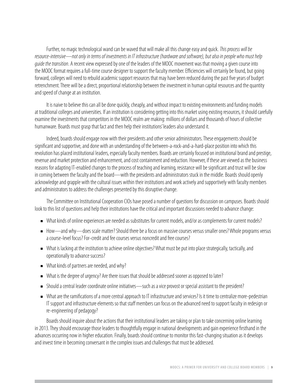Further, no magic technological wand can be waved that will make all this change easy and quick. *This process will be resource-intensive—not only in terms of investments in IT infrastructure (hardware and software), but also in people who must help guide the transition*. A recent view expressed by one of the leaders of the MOOC movement was that moving a given course into the MOOC format requires a full-time course designer to support the faculty member. Efficiencies will certainly be found, but going forward, colleges will need to rebuild academic support resources that may have been reduced during the past five years of budget retrenchment. There will be a direct, proportional relationship between the investment in human capital resources and the quantity and speed of change at an institution.

It is naive to believe this can all be done quickly, cheaply, and without impact to existing environments and funding models at traditional colleges and universities. If an institution is considering getting into this market using existing resources, it should carefully examine the investments that competitors in the MOOC realm are making: millions of dollars and thousands of hours of collective humanware. Boards must grasp that fact and then help their institutions' leaders also understand it.

Indeed, boards should engage now with their presidents and other senior administrators. These engagements should be significant and supportive, and done with an understanding of the between-a-rock-and-a-hard-place position into which this revolution has placed institutional leaders, especially faculty members. Boards are certainly focused on institutional brand and prestige, revenue and market protection and enhancement, and cost containment and reduction. However, if these are viewed as the business reasons for adapting IT-enabled changes to the process of teaching and learning, resistance will be significant and trust will be slow in coming between the faculty and the board—with the presidents and administrators stuck in the middle. Boards should openly acknowledge and grapple with the cultural issues within their institutions and work actively and supportively with faculty members and administrators to address the challenges presented by this disruptive change.

The Committee on Institutional Cooperation CIOs have posed a number of questions for discussion on campuses. Boards should look to this list of questions and help their institutions have the critical and important discussions needed to advance change:

- What kinds of online experiences are needed as substitutes for current models, and/or as complements for current models?
- How—and why—does scale matter? Should there be a focus on massive courses versus smaller ones? Whole programs versus a course-level focus? For-credit and fee courses versus noncredit and free courses?
- What is lacking at the institution to achieve online objectives? What must be put into place strategically, tactically, and operationally to advance success?
- What kinds of partners are needed, and why?
- What is the degree of urgency? Are there issues that should be addressed sooner as opposed to later?
- Should a central leader coordinate online initiatives—such as a vice provost or special assistant to the president?
- What are the ramifications of a more central approach to IT infrastructure and services? Is it time to centralize more-pedestrian IT support and infrastructure elements so that staff members can focus on the advanced need to support faculty in redesign or re-engineering of pedagogy?

Boards should inquire about the actions that their institutional leaders are taking or plan to take concerning online learning in 2013. They should encourage those leaders to thoughtfully engage in national developments and gain experience firsthand in the advances occurring now in higher education. Finally, boards should continue to monitor this fast-changing situation as it develops and invest time in becoming conversant in the complex issues and challenges that must be addressed.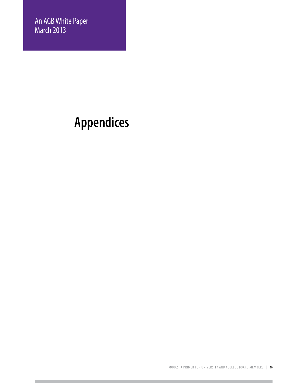F

# **Appendices**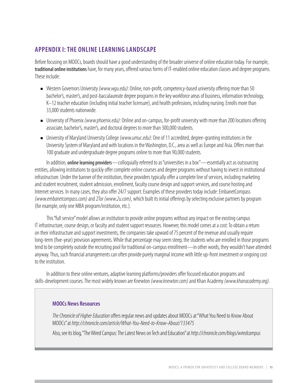# **Appendix I: The Online Learning Landscape**

Before focusing on MOOCs, boards should have a good understanding of the broader universe of online education today. For example, traditional online institutions have, for many years, offered various forms of IT-enabled online education classes and degree programs. These include:

- Western Governors University (www.wgu.edu): Online, non-profit, competency-based university offering more than 50 bachelor's, master's, and post-baccalaureate degree programs in the key workforce areas of business, information technology, K–12 teacher education (including initial teacher licensure), and health professions, including nursing. Enrolls more than 33,000 students nationwide.
- University of Phoenix *(www.phoenix.edu)*: Online and on-campus, for-profit university with more than 200 locations offering associate, bachelor's, master's, and doctoral degrees to more than 300,000 students.
- University of Maryland University College *(www.umuc.edu)*: One of 11 accredited, degree-granting institutions in the University System of Maryland and with locations in the Washington, D.C., area as well as Europe and Asia. Offers more than 100 graduate and undergraduate degree programs online to more than 90,000 students.

In addition, online learning providers—colloquially referred to as "universities in a box"—essentially act as outsourcing entities, allowing institutions to quickly offer complete online courses and degree programs without having to invest in institutional infrastructure. Under the banner of the institution, these providers typically offer a complete line of services, including marketing and student recruitment, student admission, enrollment, faculty course design and support services, and course hosting and Internet services. In many cases, they also offer 24/7 support. Examples of these providers today include: EmbanetCompass *(www.embanetcompass.com)* and 2Tor *(www.2u.com)*, which built its initial offerings by selecting exclusive partners by program (for example, only one MBA program/institution, etc.).

This "full service" model allows an institution to provide online programs without any impact on the existing campus IT infrastructure, course design, or faculty and student support resources. However, this model comes at a cost: To obtain a return on their infrastructure and support investments, the companies take upward of 75 percent of the revenue and usually require long-term (five-year) provision agreements. While that percentage may seem steep, the students who are enrolled in those programs tend to be completely outside the recruiting pool for traditional on-campus enrollment—in other words, they wouldn't have attended anyway. Thus, such financial arrangements can often provide purely marginal income with little up-front investment or ongoing cost to the institution.

In addition to these online ventures, adaptive learning platforms/providers offer focused education programs and skills-development courses. The most widely known are Knewton *(www.knewton.com)* and Khan Academy *(www.khanacademy.org)*.

### **MOOCs News Resources**

*The Chronicle of Higher Education* offers regular news and updates about MOOCs at "What You Need to Know About MOOCs" at *http://chronicle.com/article/What-You-Need-to-Know-About/133475*

Also, see its blog, "The Wired Campus: The Latest News on Tech and Education" at *http://chronicle.com/blogs/wiredcampus*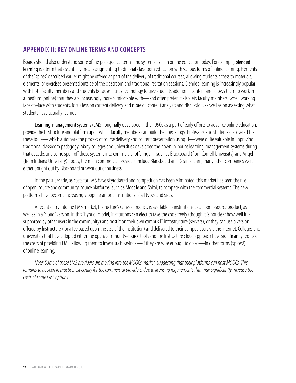# **Appendix II: Key Online Terms and Concepts**

Boards should also understand some of the pedagogical terms and systems used in online education today. For example, blended learning is a term that essentially means augmenting traditional classroom education with various forms of online learning. Elements of the "spices" described earlier might be offered as part of the delivery of traditional courses, allowing students access to materials, elements, or exercises presented outside of the classroom and traditional recitation sessions. Blended learning is increasingly popular with both faculty members and students because it uses technology to give students additional content and allows them to work in a medium (online) that they are increasingly more comfortable with—and often prefer. It also lets faculty members, when working face-to-face with students, focus less on content delivery and more on content analysis and discussion, as well as on assessing what students have actually learned.

Learning-management systems (LMS), originally developed in the 1990s as a part of early efforts to advance online education, provide the IT structure and platform upon which faculty members can build their pedagogy. Professors and students discovered that these tools—which automate the process of course delivery and content presentation using IT—were quite valuable in improving traditional classroom pedagogy. Many colleges and universities developed their own in-house learning-management systems during that decade, and some spun off those systems into commercial offerings—such as Blackboard (from Cornell University) and Angel (from Indiana University). Today, the main commercial providers include Blackboard and Desire2Learn; many other companies were either bought out by Blackboard or went out of business.

In the past decade, as costs for LMS have skyrocketed and competition has been eliminated, this market has seen the rise of open-source and community-source platforms, such as Moodle and Sakai, to compete with the commercial systems. The new platforms have become increasingly popular among institutions of all types and sizes.

A recent entry into the LMS market, Instructure's Canvas product, is available to institutions as an open-source product, as well as in a "cloud" version. In this "hybrid" model, institutions can elect to take the code freely (though it is not clear how well it is supported by other users in the community) and host it on their own campus IT infrastructure (servers), or they can use a version offered by Instructure (for a fee based upon the size of the institution) and delivered to their campus users via the Internet. Colleges and universities that have adopted either the open/community-source tools and the Instructure cloud approach have significantly reduced the costs of providing LMS, allowing them to invest such savings—if they are wise enough to do so—in other forms (spices!) of online learning.

*Note: Some of these LMS providers are moving into the MOOCs market, suggesting that their platforms can host MOOCs. This remains to be seen in practice, especially for the commercial providers, due to licensing requirements that may significantly increase the costs of some LMS options.*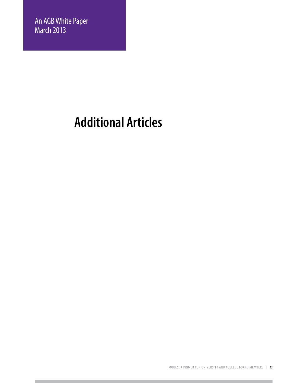F

# **Additional Articles**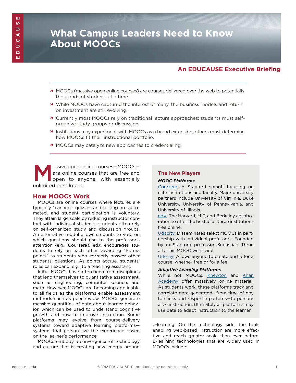# **What Campus Leaders Need to Know About MOOCs**

#### **An EDUCAUSE Executive Briefing**

- **»** MOOCs (massive open online courses) are courses delivered over the web to potentially thousands of students at a time.
- **»** While MOOCs have captured the interest of many, the business models and return on investment are still evolving.
- **»** Currently most MOOCs rely on traditional lecture approaches; students must selforganize study groups or discussion.
- **»** Institutions may experiment with MOOCs as a brand extension; others must determine how MOOCs fit their instructional portfolio.
- **»** MOOCs may catalyze new approaches to credentialing.

Massive open online courses—MOOCs—<br>are online courses that are free and<br>open to anyone, with essentially<br>unlimited enrollment are online courses that are free and open to anyone, with essentially unlimited enrollment.

#### **How MOOCs Work**

MOOCs are online courses where lectures are typically "canned," quizzes and testing are automated, and student participation is voluntary. They attain large scale by reducing instructor contact with individual students; students often rely on self-organized study and discussion groups. An alternative model allows students to vote on which questions should rise to the professor's attention (e.g., Coursera). edX encourages students to rely on each other, awarding "Karma points" to students who correctly answer other students' questions. As points accrue, students' roles can expand, e.g., to a teaching assistant.

Initial MOOCs have often been from disciplines that lend themselves to quantitative assessment, such as engineering, computer science, and math. However, MOOCs are becoming applicable to all fields as the platforms enable assessment methods such as peer review. MOOCs generate massive quantities of data about learner behavior, which can be used to understand cognitive growth and how to improve instruction. Some platforms may evolve from course-delivery systems toward adaptive learning platforms systems that personalize the experience based on the learner's performance.

MOOCs embody a convergence of technology and culture that is creating new energy around

#### **The New Players**

#### *MOOC Platforms*

Coursera: A Stanford spinoff focusing on elite institutions and faculty. Major university partners include University of Virginia, Duke University, University of Pennsylvania, and University of Illinois.

edX: The Harvard, MIT, and Berkeley collaboration to offer the best of all three institutions free online.

Udacity: Disseminates select MOOCs in partnership with individual professors. Founded by ex-Stanford professor Sebastian Thrun after his MOOC went viral.

Udemy: Allows anyone to create and offer a course, whether free or for a fee.

#### *Adaptive Learning Platforms*

While not MOOCs, Knewton and Khan Academy offer massively online material. As students work, these platforms track and correlate data generated—from time of day to clicks and response patterns—to personalize instruction. Ultimately all platforms may use data to adapt instruction to the learner.

e-learning. On the technology side, the tools enabling web-based instruction are more effective and reach greater scale than ever before. E-learning technologies that are widely used in MOOCs include: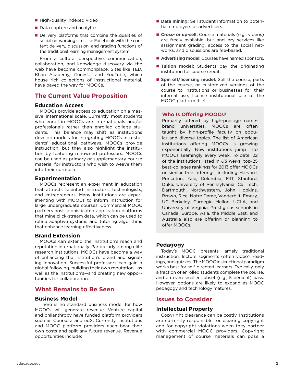- High-quality indexed video
- Data capture and analytics
- Delivery platforms that combine the qualities of social networking sites like Facebook with the content delivery, discussion, and grading functions of the traditional learning management system

From a cultural perspective, communication, collaboration, and knowledge discovery via the web have become commonplace. Sites like TED, Khan Academy, iTunesU, and YouTube, which house rich collections of instructional material, have paved the way for MOOCs.

#### **The Current Value Proposition**

#### **Education Access**

MOOCs provide access to education on a massive, international scale. Currently, most students who enroll in MOOCs are internationals and/or professionals rather than enrolled college students. This balance may shift as institutions develop models for integrating MOOCs into students' educational pathways. MOOCs provide instruction, but they also highlight the institution by featuring renowned professors. MOOCs can be used as primary or supplementary course material for instructors who wish to weave them into their curricula.

#### **Experimentation**

MOOCs represent an experiment in education that attracts talented instructors, technologists, and entrepreneurs. Many institutions are experimenting with MOOCs to inform instruction for large undergraduate courses. Commercial MOOC partners host sophisticated application platforms that mine click-stream data, which can be used to refine adaptive systems and tutoring algorithms that enhance learning effectiveness.

#### **Brand Extension**

MOOCs can extend the institution's reach and reputation internationally. Particularly among elite research institutions, MOOCs have become a way of enhancing the institution's brand and signaling innovation. Successful professors can gain a global following, building their own reputation—as well as the institution's—and creating new opportunities for collaboration.

#### **What Remains to Be Seen**

#### **Business Model**

There is no standard business model for how MOOCs will generate revenue. Venture capital and philanthropy have funded platform providers such as Coursera and edX. Currently, institutions and MOOC platform providers each bear their own costs and split any future revenue. Revenue opportunities include:

- **Data mining:** Sell student information to potential employers or advertisers.
- **Cross- or up-sell:** Course materials (e.g., videos) are freely available, but ancillary services like assignment grading, access to the social networks, and discussions are fee-based.
- **Advertising model:** Courses have named sponsors.
- **Tuition model:** Students pay the originating institution for course credit.
- **Spin off/licensing model:** Sell the course, parts of the course, or customized versions of the course to institutions or businesses for their internal use; license institutional use of the MOOC platform itself.

#### **Who Is Offering MOOCs?**

Primarily offered by high-prestige namebrand universities, MOOCs are often taught by high-profile faculty on popular and diverse topics. The list of American institutions offering MOOCs is growing exponentially. New institutions jump into MOOCs seemingly every week. To date, 22 of the institutions listed in *US News*' top-25 best-colleges rankings for 2013 offer MOOCs or similar free offerings, including Harvard, Princeton, Yale, Columbia, MIT, Stanford, Duke, University of Pennsylvania, Cal Tech, Dartmouth, Northwestern, John Hopkins, Brown, Rice, Notre Dame, Vanderbilt, Emory, UC Berkeley, Carnegie Mellon, UCLA, and University of Virginia. Prestigious schools in Canada, Europe, Asia, the Middle East, and Australia also are offering or planning to offer MOOCs.

#### **Pedagogy**

Today's MOOC presents largely traditional instruction: lecture segments (often video), readings, and quizzes. The MOOC instructional paradigm works best for self-directed learners. Typically, only a fraction of enrolled students complete the course, and an even smaller subset (e.g., 5 percent) pass. However, options are likely to expand as MOOC pedagogy and technology matures.

#### **Issues to Consider**

#### **Intellectual Property**

Copyright clearance can be costly. Institutions are currently responsible for clearing copyright and for copyright violations when they partner with commercial MOOC providers. Copyright management of course materials can pose a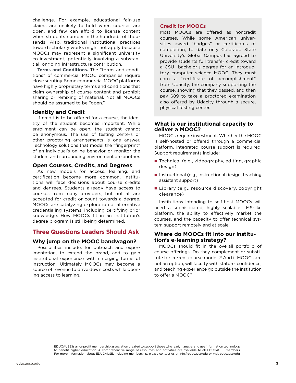challenge. For example, educational fair-use claims are unlikely to hold when courses are open, and few can afford to license content when students number in the hundreds of thousands. Also, traditional institutional practices toward scholarly works might not apply because MOOCs may represent a significant university co-investment, potentially involving a substantial, ongoing infrastructure contribution.

**Terms and Conditions.** The "terms and conditions" of commercial MOOC companies require close scrutiny. Some commercial MOOC platforms have highly proprietary terms and conditions that claim ownership of course content and prohibit sharing or remixing of material. Not all MOOCs should be assumed to be "open."

#### **Identity and Credit**

If credit is to be offered for a course, the identity of the student becomes important. While enrollment can be open, the student cannot be anonymous. The use of testing centers or other proctoring arrangements is one answer. Technology solutions that model the "fingerprint" of an individual's online behavior or monitor the student and surrounding environment are another.

#### **Open Courses, Credits, and Degrees**

As new models for access, learning, and certification become more common, institutions will face decisions about course credits and degrees. Students already have access to courses from many providers, but not all are accepted for credit or count towards a degree. MOOCs are catalyzing exploration of alternative credentialing systems, including certifying prior knowledge. How MOOCs fit in an institution's degree program is still being determined.

#### **Three Questions Leaders Should Ask**

#### **Why jump on the MOOC bandwagon?**

Possibilities include: for outreach and experimentation, to extend the brand, and to gain institutional experience with emerging forms of instruction. Ultimately MOOCs may become a source of revenue to drive down costs while opening access to learning.

#### **Credit for MOOCs**

Most MOOCs are offered as noncredit courses. While some American universities award "badges" or certificates of completion, to date only Colorado State University's Global Campus has agreed to provide students full transfer credit toward a CSU bachelor's degree for an introductory computer science MOOC. They must earn a "certificate of accomplishment" from Udacity, the company supporting the course, showing that they passed, and then pay \$89 to take a proctored examination also offered by Udacity through a secure, physical testing center.

#### **What is our institutional capacity to deliver a MOOC?**

MOOCs require investment. Whether the MOOC is self-hosted or offered through a commercial platform, integrated course support is required. Support requirements include:

- $\blacksquare$  Technical (e.g., videography, editing, graphic design)
- Instructional (e.g., instructional design, teaching assistant support)
- Library (e.g., resource discovery, copyright clearance)

Institutions intending to self-host MOOCs will need a sophisticated, highly scalable LMS-like platform, the ability to effectively market the courses, and the capacity to offer technical system support remotely and at scale.

#### **Where do MOOCs fit into our institution's e-learning strategy?**

MOOCs should fit in the overall portfolio of course offerings. Do they complement or substitute for current course models? And if MOOCs are not an option, will faculty with stature, confidence, and teaching experience go outside the institution to offer a MOOC?

EDUCAUSE is a nonprofit membership association created to support those who lead, manage, and use information technology to benefit higher education. A comprehensive range of resources and activities are available to all EDUCAUSE members. For more information about EDUCAUSE, including membership, please contact us at info@educause.edu or visit educause.edu.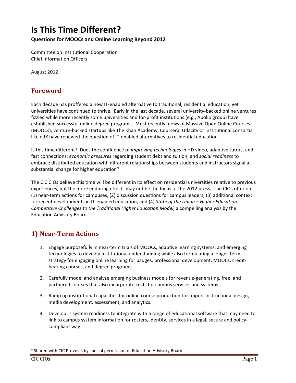# **Is This Time Different?**

Questions for MOOCs and Online Learning Beyond 2012

Committee on Institutional Cooperation **Chief Information Officers** 

August 2012

### **Foreword**

Each decade has proffered a new IT-enabled alternative to traditional, residential education, yet universities have continued to thrive. Early in the last decade, several university-backed online ventures fizzled while more recently some universities and for-profit institutions (e.g., Apollo group) have established successful online degree programs. Most recently, news of Massive Open Online Courses (MOOCs), venture-backed startups like The Khan Academy, Coursera, Udacity or institutional consortia like edX have renewed the question of IT-enabled alternatives to residential education.

Is this time different? Does the confluence of improving technologies in HD video, adaptive tutors, and fast connections; economic pressures regarding student debt and tuition; and social readiness to embrace distributed education with different relationships between students and instructors signal a substantial change for higher education?

The CIC CIOs believe this time will be different in its effect on residential universities relative to previous experiences, but the more enduring effects may not be the focus of the 2012 press. The CIOs offer our (1) near-term actions for campuses, (2) discussion questions for campus leaders, (3) additional context for recent developments in IT-enabled education, and (4) State of the Union - Higher Education: Competitive Challenges to the Traditional Higher Education Model, a compelling analysis by the Education Advisory Board.<sup>1</sup>

### 1) Near-Term Actions

- 1. Engage purposefully in near-term trials of MOOCs, adaptive learning systems, and emerging technologies to develop institutional understanding while also formulating a longer-term strategy for engaging online learning for badges, professional development, MOOCs, creditbearing courses, and degree programs.
- 2. Carefully model and analyze emerging business models for revenue-generating, free, and partnered courses that also incorporate costs for campus services and systems.
- 3. Ramp up institutional capacities for online course production to support instructional design, media development, assessment, and analytics.
- 4. Develop IT system readiness to integrate with a range of educational software that may need to link to campus system information for rosters, identity, services in a legal, secure and policycompliant way.

Shared with CIC Provosts by special permission of Education Advisory Board.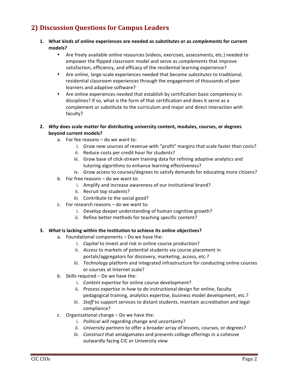# **2) Discussion Questions for Campus Leaders**

- 1. What kinds of online experiences are needed as substitutes or as complements for current models?
	- $\bullet$ Are freely available online resources (videos, exercises, assessments, etc.) needed to empower the flipped classroom model and serve as *complements* that improve satisfaction, efficiency, and efficacy of the residential learning experience?
	- Are online, large-scale experiences needed that become substitutes to traditional,  $\bullet$ residential classroom experiences through the engagement of thousands of peer learners and adaptive software?
	- $\bullet$ Are online experiences needed that establish by certification basic competency in disciplines? If so, what is the form of that certification and does it serve as a complement or substitute to the curriculum and major and direct interaction with faculty?

#### 2. Why does scale matter for distributing university content, modules, courses, or degrees beyond current models?

- a. For fee reasons do we want to:
	- i. Grow new sources of revenue with "profit" margins that scale faster than costs?
	- ii. Reduce costs per credit hour for students?
	- iii. Grow base of click-stream training data for refining adaptive analytics and tutoring algorithms to enhance learning effectiveness?
	- iv. Grow access to courses/degrees to satisfy demands for educating more citizens?
- b. For free reasons  $-$  do we want to:
	- i. Amplify and increase awareness of our institutional brand?
	- ii. Recruit top students?
	- iii. Contribute to the social good?
- c. For research reasons do we want to:
	- i. Develop deeper understanding of human cognitive growth?
	- ii. Refine better methods for teaching specific content?

#### 3. What is lacking within the institution to achieve its online objectives?

- a. Foundational components Do we have the:
	- i. Capital to invest and risk in online course production?
	- ii. Access to markets of potential students via course placement in portals/aggregators for discovery, marketing, access, etc.?
	- iii. Technology platform and integrated infrastructure for conducting online courses or courses at Internet scale?
- b. Skills required Do we have the:
	- i. Content expertise for online course development?
	- ii. Process expertise in how to do instructional design for online, faculty pedagogical training, analytics expertise, business model development, etc.?
	- iii. Staff to support services to distant students, maintain accreditation and legal compliance?
- c. Organizational change  $-$  Do we have the:
	- i. Political will regarding change and uncertainty?
	- ii. University partners to offer a broader array of lessons, courses, or degrees?
	- iii. Construct that amalgamates and presents college offerings in a cohesive outwardly facing CIC or University view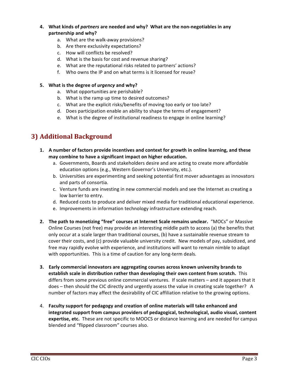#### 4. What kinds of partners are needed and why? What are the non-negotiables in any partnership and why?

- a. What are the walk-away provisions?
- b. Are there exclusivity expectations?
- c. How will conflicts be resolved?
- d. What is the basis for cost and revenue sharing?
- e. What are the reputational risks related to partners' actions?
- f. Who owns the IP and on what terms is it licensed for reuse?

#### 5. What is the degree of *urgency* and why?

- a. What opportunities are perishable?
- b. What is the ramp up time to desired outcomes?
- c. What are the explicit risks/benefits of moving too early or too late?
- d. Does participation enable an ability to shape the terms of engagement?
- e. What is the degree of institutional readiness to engage in online learning?

# 3) Additional Background

- 1. A number of factors provide incentives and context for growth in online learning, and these may combine to have a significant impact on higher education.
	- a. Governments, Boards and stakeholders desire and are acting to create more affordable education options (e.g., Western Governor's University, etc.).
	- b. Universities are experimenting and seeking potential first mover advantages as innovators and parts of consortia.
	- c. Venture funds are investing in new commercial models and see the Internet as creating a low barrier to entry.
	- d. Reduced costs to produce and deliver mixed media for traditional educational experience.
	- e. Improvements in information technology infrastructure extending reach.
- 2. The path to monetizing "free" courses at Internet Scale remains unclear. "MOCs" or Massive Online Courses (not free) may provide an interesting middle path to access (a) the benefits that only occur at a scale larger than traditional courses, (b) have a sustainable revenue stream to cover their costs, and (c) provide valuable university credit. New models of pay, subsidized, and free may rapidly evolve with experience, and institutions will want to remain nimble to adapt with opportunities. This is a time of caution for any long-term deals.
- 3. Early commercial innovators are aggregating courses across known university brands to establish scale in distribution rather than developing their own content from scratch. This differs from some previous online commercial ventures. If scale matters - and it appears that it does - then should the CIC directly and urgently assess the value in creating scale together? A number of factors may affect the desirability of CIC affiliation relative to the growing options.
- 4. Faculty support for pedagogy and creation of online materials will take enhanced and integrated support from campus providers of pedagogical, technological, audio visual, content expertise, etc. These are not specific to MOOCS or distance learning and are needed for campus blended and "flipped classroom" courses also.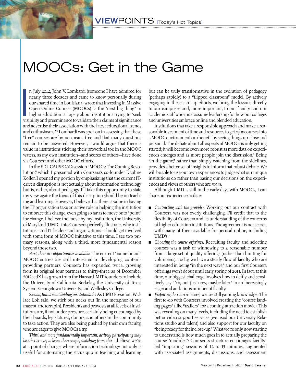# MooCs: Get in the Game

n July 2012, John V. Lombardi (someone I have admired tor<br>nearly three decades and came to know personally during<br>our shared time in Louisiana) wrote that investing in Massive<br>Open Online Courses (MOOCs) as the "next big t n July 2012, John V. Lombardi (someone I have admired for nearly three decades and came to know personally during our shared time in Louisiana) wrote that investing in Massive Open Online Courses (MOOCs) as the "next big thing" in higher education is largely about institutions trying to "seek and advertise their association with the latest educational trends and enthusiasms."1 Lombardi was spot-on in assessing that these "free" courses are by no means free and that many questions remain to be answered. However, I would argue that there is value in institutions sticking their proverbial toe in the MOOC waters, as my own institution—and scores of others—have done via Coursera and other MOOC efforts.

In the EDUCAUSE 2012 session "MOOCs: The Coming Revolution," which I presented with Coursera's co-founder Daphne Koller, I opened my portion by emphasizing that the current ITdriven disruption is not actually about information technology but is, rather, about pedagogy. I'll take this opportunity to state my view again: the focus of this disruption should be on teaching and learning. However, I believe that there is value in having the IT organization take an active role in helping the institution to embrace this change, even going so far as to move onto "point" for change. I believe the move by my institution, the University of Maryland (UMD), into Coursera perfectly illustrates why institutions—and IT leaders and organizations—should get involved with some form of MOOC initiative at this time. I see two primary reasons, along with a third, more fundamental reason beyond those two.

*First, there are opportunities available.* The current "name-brand" MOOC entries are still interested in developing contentproviding partners: Coursera has expanded twice, growing from its original four partners to thirty-three as of December 2012; edX has grown from the Harvard-MIT founders to include the University of California–Berkeley, the University of Texas System, Georgetown University, and Wellesley College.

*Second, this is what leading institutions do.* As UMD President Wallace Loh said, we stick our necks out (in the metaphor of our mascot, the terrapin). Presidents and provosts at all levels of institutions are, if not under pressure, certainly being encouraged by their boards, legislatures, donors, and others in the community to take action. They are also being pushed by their own faculty, who are eager to give MOOCs a try.

*Third, and more fundamentally important, actively participating may be a better way to learn than simply watching from afar*. I believe we're at a point of change, where information technology not only is useful for automating the status quo in teaching and learning

but can be truly transformative in the evolution of pedagogy (perhaps rapidly) to a "flipped classroom" model. By actively engaging in these start-up efforts, we bring the lessons directly to our campuses and, more important, to our faculty and our academic staff who must assume leadership for how our colleges and universities embrace online and blended education.

Institutions that take a responsible approach and make a reasonable investment of time and resources to get *a few* courses into a MOOC environment can benefit by seeing things up-close and personal. The debate about all aspects of MOOCs is only getting started; it will become even more robust as more data on experiences emerges and as more people join the discussion.<sup>2</sup> Being "in the game," rather than simply watching from the sidelines, provides a better set of insights to inform that robust debate. We will be able to use our own experiences to judge what our unique institutions do rather than basing our decisions on the experiences and views of others who are *not us*.

Although UMD is still in the early days with MOOCs, I can share our experience to date:

- n *Contracting with the provider.* Working out our contract with Coursera was not overly challenging. I'll credit that to the flexibility of Coursera and its understanding of the concerns of higher education institutions. The agreement is not secret, with many of them available for perusal online, including UMD's.3
- n *Choosing the course offerings.* Recruiting faculty and selecting courses was a task of winnowing to a reasonable number from a large set of quality offerings (rather than hunting for volunteers). Today, we have a steady flow of faculty who are interested in being "in the next wave," and our first Coursera offerings won't debut until early spring of 2013. In fact, at this time, our biggest challenge involves how to deftly and sensitively say "No, not just now, maybe later" to an increasingly eager and ambitious number of faculty.
- n *Preparing the courses.* Here, we are still gaining knowledge. The first to-do with Coursera involved creating the "course landing pages" (like "trailers" for a coming-attraction movie). This was revealing on many levels, including the need to establish better video support services (we used our University Relations studio and talent) and also support for our faculty on "being ready for their close-up." What we're only now starting to understand is how much goes in to actually preparing the course "modules": Coursera's structure encourages facultyled "imparting" sessions of 12 to 15 minutes, augmented with associated assignments, discussions, and assessment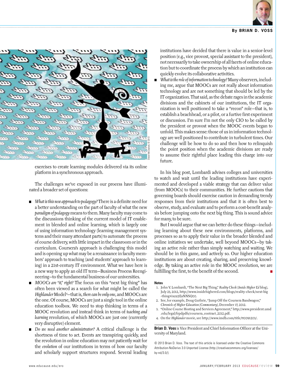



exercises to create learning modules delivered via its online platform in a synchronous approach.

The challenges we've exposed in our process have illuminated a broader set of questions:

- *What is this new approach to pedagogy?* There is a definite need for a better understanding on the part of faculty of what the new *paradigm of pedagogy* means to them. Many faculty may come to the discussions thinking of the current model of IT enablement in blended and online learning, which is largely one of using information technology (learning management systems and their many attendant parts) to automate the process of course delivery, with little impact in the classroom or in the curriculum. Coursera's approach is challenging this model and is opening up what may be a renaissance in faculty members' approach to teaching (and students' approach to learning) in a 21st-century IT environment. What we have here is a new way to apply an old IT term—Business Process Reengineering—to the fundamental business of our universities.
- *MOOCs are "it," right?* The focus on this "next big thing" has often been viewed as a search for what might be called the *Highlander* Model4 —that is, *there can be only one*, and MOOCs are the one. Of course, MOOCs are just a single tool in the online education toolbox. We need to stop thinking in terms of a MOOC revolution and instead think in terms of *teaching and learning* revolution, of which MOOCs are just one (currently very disruptive) element.
- n *Do we need another administrator?* A critical challenge is the shortness of time to act. Events are transpiring quickly, and the revolution in online education may not patiently wait for the *evolution* of our institutions in terms of how our faculty and scholarly support structures respond. Several leading

institutions have decided that there is value in a senior-level position (e.g., vice provost, special assistant to the president), not necessarily to take ownership of all facets of online education but to coordinate the process by which an institution can quickly evolve its collaborative activities.

n *What is the role of information technology?* Many observers, including me, argue that MOOCs are not really about information technology and are not something that should be led by the IT organization. That said, as the debate rages in the academic divisions and the cabinets of our institutions, the IT organization is well positioned to take a "recon" role—that is, to establish a beachhead, or a pilot, or a furtive first experiment or discussion. I'm sure I'm not the only CIO to be called by the president or provost when the MOOC events began to unfold. This makes sense: those of us in information technology are well positioned to contribute in turbulent times. Our challenge will be how to do so and then how to relinquish the point position when the academic divisions are ready to assume their rightful place leading this charge into our future.

In his blog post, Lombardi advises colleges and universities to watch and wait until the leading institutions have experimented and developed a viable strategy that can deliver value (from MOOCs) to their communities. He further cautions that governing boards should exercise caution in demanding trendy responses from their institutions and that it is often best to observe, study, and evaluate and to perform a cost-benefit analysis before jumping onto the next big thing. This is sound advice for many, to be sure.

But I would argue that we can better do these things—including learning about these new environments, platforms, and processes so as to apply their value in the broader blended and online initiatives we undertake, well beyond MOOCs—by taking an active role rather than simply watching and waiting. We should be in this game, and actively so. Our higher education institutions are about creating, sharing, and preserving knowledge. By taking an active role in the MOOC revolution, we are fulfilling the first, to the benefit of the second.

#### **Notes**

- 1. John V. Lombardi, "The Next Big Thing," *Reality Check* (*Inside Higher Ed* blog), July 23, 2012, http://www.insidehighered.com/blogs/reality-check/next-big -thing#ixzz2EaNNSQ00.
- 2. See, for example, Doug Guthrie, "Jump Off the Coursera Bandwagon," *Chronicle of Higher Education (Commentary),* December 17, 2012.
- 3. "Online Course Hosting and Services Agreement," http://www.president.umd .edu/legal/frpdpdfs/coursera\_contract\_2012.pdf.
- 4. On the *Highlander* movie, see http://www.imdb.com/title/tt0091203/.

**Brian D. voss** is Vice President and Chief Information Officer at the University of Maryland.

© 2013 Brian D. Voss. The text of this article is licensed under the Creative Commons Attribution-NoDerivs 3.0 Unported License (http://creativecommons.org/licenses/ by-nd/3.0/).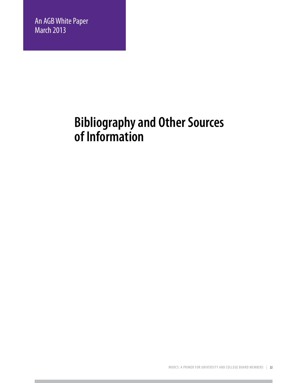# **Bibliography and Other Sources of Information**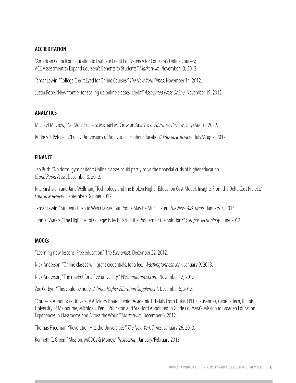#### **ACCREDITATION**

"American Council on Education to Evaluate Credit Equivalency for Coursera's Online Courses; ACE Assessment to Expand Coursera's Benefits to Students." *Marketwire*. November 13, 2012.

Tamar Lewin, "College Credit Eyed for Online Courses." *The New York Times*. November 14, 2012.

Justin Pope, "New frontier for scaling up online classes: credit." *Associated Press Online*. November 19, 2012.

#### **ANALYTICS**

Michael M. Crow, "No More Excuses: Michael M. Crow on Analytics." *Educause Review*. July/August 2012.

Rodney J. Petersen, "Policy Dimensions of Analytics in Higher Education." *Educause Review*. July/August 2012.

#### **FINANCE**

Jeb Bush, "No dorm, gym or debt: Online classes could partly solve the financial crisis of higher education." *Grand Rapid Press*. December 8, 2012.

Rita Kirshstein and Jane Wellman, "Technology and the Broken Higher Education Cost Model: Insights From the Delta Cost Project." *Educause Review*. September/October 2012.

Tamar Lewin, "Students Rush to Web Classes, But Profits May Be Much Later." *The New York Times*. January 7, 2013.

John K. Waters, "The High Cost of College: Is Tech Part of the Problem or the Solution?" *Campus Technology*. June 2012.

#### **MOOCs**

"Learning new lessons: Free education." The *Economist*. December 22, 2012.

Nick Anderson, "Online classes will grant credentials, for a fee." *Washingtonpost.com*. January 9, 2013.

Nick Anderson, "The market for a free university." *Washingtonpost.com*. November 12, 2012.

Zoe Corbyn, "This could be huge..." *Times Higher Education Supplement*. December 6, 2012.

"Coursera Announces University Advisory Board: Senior Academic Officials From Duke, EPFL (Lausanne), Georgia Tech, Illinois, University of Melbourne, Michigan, Penn, Princeton and Stanford Appointed to Guide Coursera's Mission to Broaden Education Experiences in Classrooms and Across the World." *Marketwire*. December 6, 2012.

Thomas Friedman, "Revolution Hits the Universities." *The New York Times*. January 26, 2013.

Kenneth C. Green, "Mission, MOOCs & Money." *Trusteeship*, January/February 2013.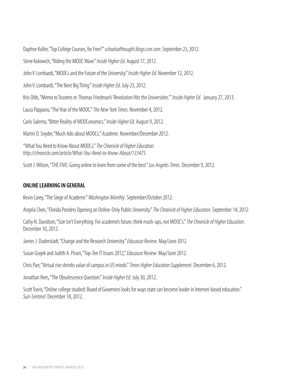Daphne Koller, "Top College Courses, for Free?" *schoolsofthought.blogs.cnn.com*. September 23, 2012. Steve Kolowich, "Riding the MOOC Wave." *Inside Higher Ed*. August 17, 2012. John V. Lombardi, "MOOCs and the Future of the University." *Inside Higher Ed*. November 12, 2012. John V. Lombardi, "The Next Big Thing." *Inside Higher Ed*. July 23, 2012. Kris Olds, "Memo to Trustees re: Thomas Friedman's 'Revolution Hits the Universities.'" *Inside Higher Ed*. January 27, 2013. Laura Pappano, "The Year of the MOOC." *The New York Times*. November 4, 2012. Carlo Salerno, "Bitter Reality of MOOConomics." *Inside Higher Ed*. August 9, 2012. Martin D. Snyder, "Much Ado about MOOCs." *Academe*. November/December 2012. "What You Need to Know About MOOCs." *The Chronicle of Higher Education*.

*http://chronicle.com/article/What-You-Need-to-Know-About/133475.*

Scott J. Wilson, "THE FIVE: Going online to learn from some of the best." *Los Angeles Times*. December 9, 2012.

## **ONLINELEARNING IN GENERAL**

Kevin Carey, "The Siege of Academe." *Washington Monthly*. September/October 2012.

Angela Chen, "Florida Ponders Opening an Online-Only Public University." *The Chronicle of Higher Education*. September 14, 2012.

Cathy N. Davidson, "Size Isn't Everything: For academe's future, think mash-ups, not MOOC's." *The Chronicle of Higher Education*. December 10, 2012.

James J. Duderstadt, "Change and the Research University." *Educause Review*. May/June 2012.

Susan Grajek and Judith A. Pirani, "Top-Ten IT Issues 2012," *Educause Review*. May/June 2012.

Chris Parr, "Virtual rise shrinks value of campus in US minds." *Times Higher Education Supplement*. December 6, 2012.

Jonathan Rees, "The Obsolescence Question." *Inside Higher Ed*. July 30, 2012.

Scott Travis, "Online college studied: Board of Governors looks for ways state can become leader in Internet-based education." *Sun-Sentinel*. December 18, 2012.